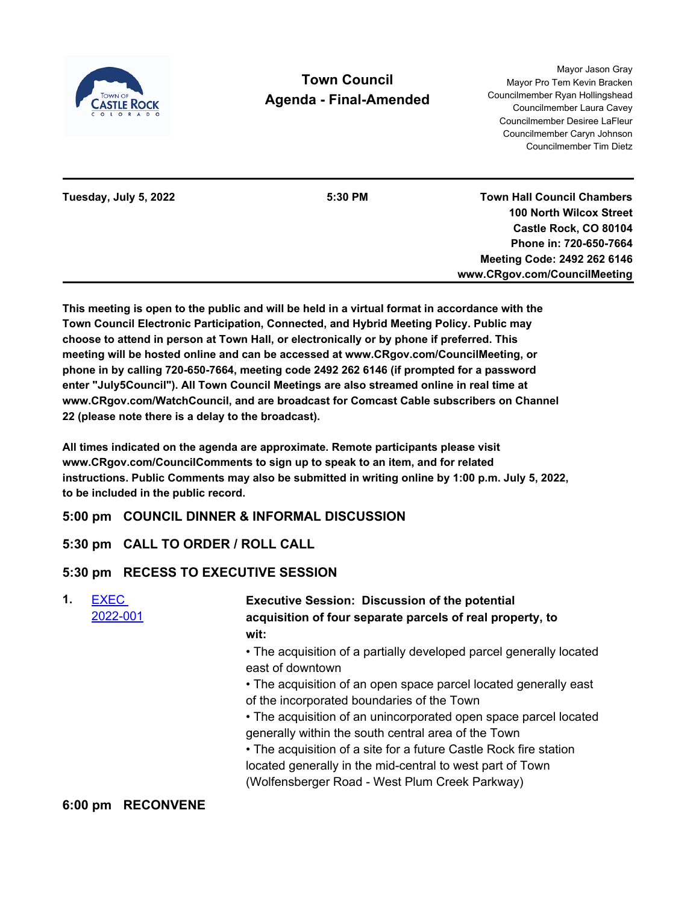

# **Town Council Agenda - Final-Amended**

Mayor Jason Gray Mayor Pro Tem Kevin Bracken Councilmember Ryan Hollingshead Councilmember Laura Cavey Councilmember Desiree LaFleur Councilmember Caryn Johnson Councilmember Tim Dietz

**Tuesday, July 5, 2022 5:30 PM**

**Town Hall Council Chambers 100 North Wilcox Street Castle Rock, CO 80104 Phone in: 720-650-7664 Meeting Code: 2492 262 6146 www.CRgov.com/CouncilMeeting**

**This meeting is open to the public and will be held in a virtual format in accordance with the Town Council Electronic Participation, Connected, and Hybrid Meeting Policy. Public may choose to attend in person at Town Hall, or electronically or by phone if preferred. This meeting will be hosted online and can be accessed at www.CRgov.com/CouncilMeeting, or phone in by calling 720-650-7664, meeting code 2492 262 6146 (if prompted for a password enter "July5Council"). All Town Council Meetings are also streamed online in real time at www.CRgov.com/WatchCouncil, and are broadcast for Comcast Cable subscribers on Channel 22 (please note there is a delay to the broadcast).**

**All times indicated on the agenda are approximate. Remote participants please visit www.CRgov.com/CouncilComments to sign up to speak to an item, and for related instructions. Public Comments may also be submitted in writing online by 1:00 p.m. July 5, 2022, to be included in the public record.**

# **5:00 pm COUNCIL DINNER & INFORMAL DISCUSSION**

# **5:30 pm CALL TO ORDER / ROLL CALL**

# **5:30 pm RECESS TO EXECUTIVE SESSION**

| 1. | <b>EXEC</b><br>2022-001 | <b>Executive Session: Discussion of the potential</b><br>acquisition of four separate parcels of real property, to<br>wit: |
|----|-------------------------|----------------------------------------------------------------------------------------------------------------------------|
|    |                         | • The acquisition of a partially developed parcel generally located                                                        |
|    |                         | east of downtown                                                                                                           |
|    |                         | • The acquisition of an open space parcel located generally east                                                           |
|    |                         | of the incorporated boundaries of the Town                                                                                 |
|    |                         | • The acquisition of an unincorporated open space parcel located<br>generally within the south central area of the Town    |
|    |                         | • The acquisition of a site for a future Castle Rock fire station                                                          |
|    |                         | located generally in the mid-central to west part of Town                                                                  |
|    |                         | (Wolfensberger Road - West Plum Creek Parkway)                                                                             |

### **6:00 pm RECONVENE**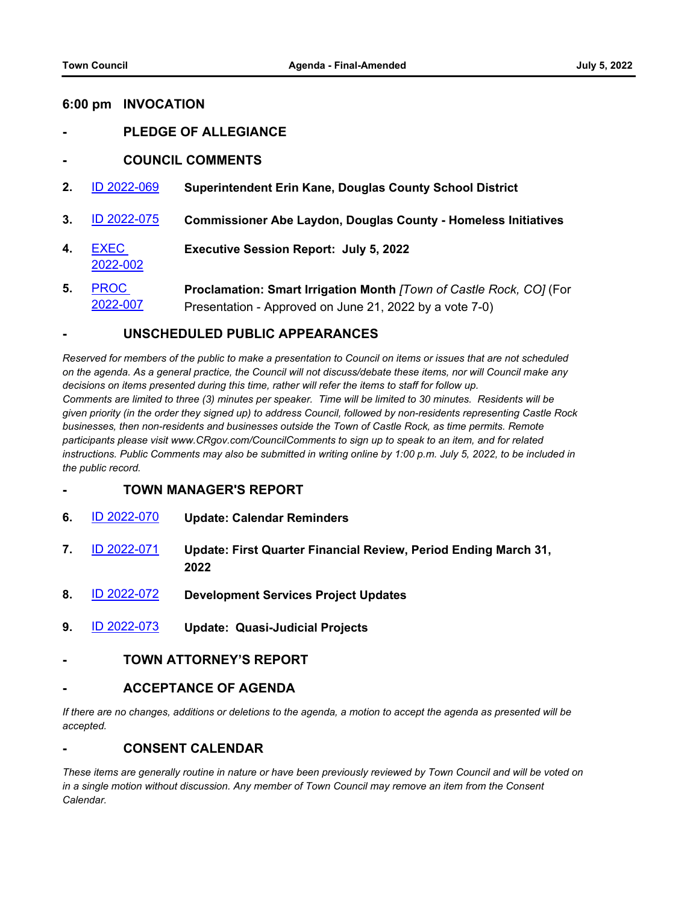#### **6:00 pm INVOCATION**

- **- PLEDGE OF ALLEGIANCE**
- **- COUNCIL COMMENTS**
- **2.** [ID 2022-069](http://castlerock-co.legistar.com/gateway.aspx?m=l&id=/matter.aspx?key=8587) **Superintendent Erin Kane, Douglas County School District**
- **3.** [ID 2022-075](http://castlerock-co.legistar.com/gateway.aspx?m=l&id=/matter.aspx?key=8595) **Commissioner Abe Laydon, Douglas County Homeless Initiatives**
- **4.** EXEC [2022-002](http://castlerock-co.legistar.com/gateway.aspx?m=l&id=/matter.aspx?key=8582) **Executive Session Report: July 5, 2022**
- **5.** PROC [2022-007](http://castlerock-co.legistar.com/gateway.aspx?m=l&id=/matter.aspx?key=8431) **Proclamation: Smart Irrigation Month** *[Town of Castle Rock, CO]* (For Presentation - Approved on June 21, 2022 by a vote 7-0)

#### **- UNSCHEDULED PUBLIC APPEARANCES**

*Reserved for members of the public to make a presentation to Council on items or issues that are not scheduled on the agenda. As a general practice, the Council will not discuss/debate these items, nor will Council make any decisions on items presented during this time, rather will refer the items to staff for follow up. Comments are limited to three (3) minutes per speaker. Time will be limited to 30 minutes. Residents will be given priority (in the order they signed up) to address Council, followed by non-residents representing Castle Rock businesses, then non-residents and businesses outside the Town of Castle Rock, as time permits. Remote participants please visit www.CRgov.com/CouncilComments to sign up to speak to an item, and for related instructions. Public Comments may also be submitted in writing online by 1:00 p.m. July 5, 2022, to be included in the public record.*

- **- TOWN MANAGER'S REPORT**
- **6.** [ID 2022-070](http://castlerock-co.legistar.com/gateway.aspx?m=l&id=/matter.aspx?key=8279) **Update: Calendar Reminders**
- **7.** [ID 2022-071](http://castlerock-co.legistar.com/gateway.aspx?m=l&id=/matter.aspx?key=8566) **Update: First Quarter Financial Review, Period Ending March 31, 2022**
- **8.** [ID 2022-072](http://castlerock-co.legistar.com/gateway.aspx?m=l&id=/matter.aspx?key=8307) **Development Services Project Updates**
- **9.** [ID 2022-073](http://castlerock-co.legistar.com/gateway.aspx?m=l&id=/matter.aspx?key=8545) **Update: Quasi-Judicial Projects**
- **- TOWN ATTORNEY'S REPORT**

#### **- ACCEPTANCE OF AGENDA**

*If there are no changes, additions or deletions to the agenda, a motion to accept the agenda as presented will be accepted.*

#### **- CONSENT CALENDAR**

*These items are generally routine in nature or have been previously reviewed by Town Council and will be voted on in a single motion without discussion. Any member of Town Council may remove an item from the Consent Calendar.*